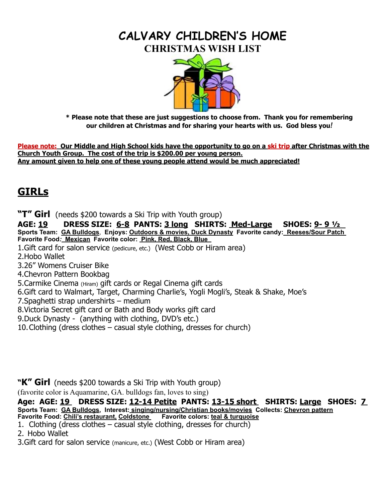## **CALVARY CHILDREN'S HOME CHRISTMAS WISH LIST**



 **\* Please note that these are just suggestions to choose from. Thank you for remembering our children at Christmas and for sharing your hearts with us. God bless you***!*

**Please note: Our Middle and High School kids have the opportunity to go on a ski trip after Christmas with the Church Youth Group. The cost of the trip is \$200.00 per young person. Any amount given to help one of these young people attend would be much appreciated!**

# **GIRLs**

**"T" Girl** (needs \$200 towards a Ski Trip with Youth group)

**AGE: 19 DRESS SIZE: 6-8 PANTS: 3 long SHIRTS: Med-Large SHOES: 9- 9 ½ Sports Team: GA Bulldogs**, **Enjoys: Outdoors & movies, Duck Dynasty Favorite candy:****Reeses/Sour Patch** **Favorite Food***:* **Mexican Favorite color: Pink, Red, Black, Blue** 

1.Gift card for salon service (pedicure, etc.) (West Cobb or Hiram area)

2.Hobo Wallet

3.26" Womens Cruiser Bike

4.Chevron Pattern Bookbag

5.Carmike Cinema (Hiram) gift cards or Regal Cinema gift cards

6.Gift card to Walmart, Target, Charming Charlie's, Yogli Mogli's, Steak & Shake, Moe's

7.Spaghetti strap undershirts – medium

8.Victoria Secret gift card or Bath and Body works gift card

9.Duck Dynasty - (anything with clothing, DVD's etc.)

10.Clothing (dress clothes – casual style clothing, dresses for church)

#### **"K" Girl** (needs \$200 towards a Ski Trip with Youth group)

(favorite color is Aquamarine, GA. bulldogs fan, loves to sing)

**Age: AGE: 19 DRESS SIZE: 12-14 Petite PANTS: 13-15 short SHIRTS: Large SHOES: 7 Sports Team: GA Bulldogs, Interest: singing/nursing/Christian books/movies****Collects: Chevron pattern Favorite Food: Chili's restaurant, Coldstone Favorite colors: teal & turquoise**

```
1. Clothing (dress clothes – casual style clothing, dresses for church)
```
2. Hobo Wallet

3.Gift card for salon service (manicure, etc.) (West Cobb or Hiram area)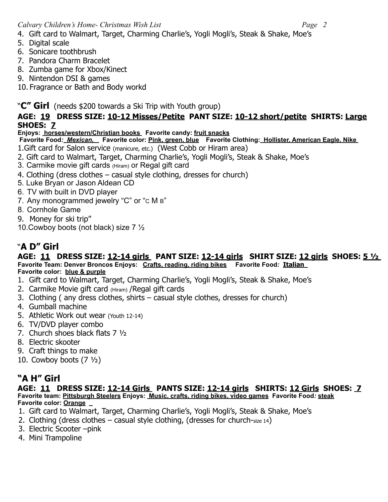- 4. Gift card to Walmart, Target, Charming Charlie's, Yogli Mogli's, Steak & Shake, Moe's
- 5. Digital scale
- 6. Sonicare toothbrush
- 7. Pandora Charm Bracelet
- 8. Zumba game for Xbox/Kinect
- 9. Nintendon DSI & games
- 10. Fragrance or Bath and Body workd

#### "**C" Girl** (needs \$200 towards a Ski Trip with Youth group)

#### **AGE: 19 DRESS SIZE: 10-12 Misses/Petite PANT SIZE: 10-12 short/petite SHIRTS: Large SHOES: 7**

#### **Enjoys: horses/western/Christian books Favorite candy: fruit snacks**

- **Favorite Food***: Mexican,* **Favorite color: Pink, green, blue Favorite Clothing: Hollister, American Eagle, Nike**
- 1.Gift card for Salon service (manicure, etc.) (West Cobb or Hiram area)
- 2. Gift card to Walmart, Target, Charming Charlie's, Yogli Mogli's, Steak & Shake, Moe's
- 3. Carmike movie gift cards (Hiram) or Regal gift card
- 4. Clothing (dress clothes casual style clothing, dresses for church)
- 5. Luke Bryan or Jason Aldean CD
- 6. TV with built in DVD player
- 7. Any monogrammed jewelry "C" or "c M B"
- 8. Cornhole Game
- 9. Money for ski trip"
- 10.Cowboy boots (not black) size 7 ½

## "**A D" Girl**

#### **AGE: 11 DRESS SIZE: 12-14 girls PANT SIZE: 12-14 girls SHIRT SIZE: 12 girls SHOES: 5 ½ Favorite Team: Denver Broncos Enjoys: Crafts, reading, riding bikes Favorite Food***:* **Italian**

- **Favorite color: blue & purple**
- 1. Gift card to Walmart, Target, Charming Charlie's, Yogli Mogli's, Steak & Shake, Moe's
- 2. Carmike Movie gift card (Hiram) /Regal gift cards
- 3. Clothing ( any dress clothes, shirts casual style clothes, dresses for church)
- 4. Gumball machine
- 5. Athletic Work out wear (Youth 12-14)
- 6. TV/DVD player combo
- 7. Church shoes black flats 7 ½
- 8. Electric skooter
- 9. Craft things to make
- 10. Cowboy boots  $(7 \frac{1}{2})$

## **"A H" Girl**

#### **AGE: 11 DRESS SIZE: 12-14 Girls PANTS SIZE: 12-14 girls SHIRTS: 12 Girls SHOES: 7 Favorite team: Pittsburgh Steelers Enjoys: Music, crafts, riding bikes, video games Favorite Food***:* **steak Favorite color: Orange**

- 1. Gift card to Walmart, Target, Charming Charlie's, Yogli Mogli's, Steak & Shake, Moe's
- 2. Clothing (dress clothes casual style clothing, (dresses for church-size 14)
- 3. Electric Scooter –pink
- 4. Mini Trampoline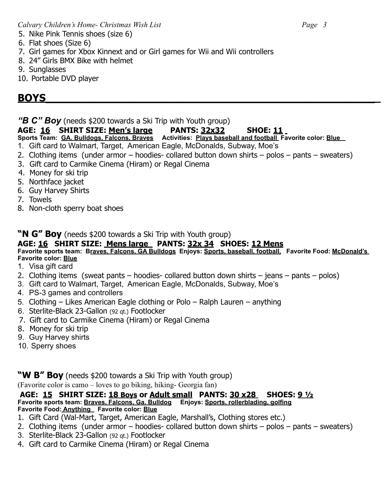- 5. Nike Pink Tennis shoes (size 6)
- 6. Flat shoes (Size 6)
- 7. Girl games for Xbox Kinnext and or Girl games for Wii and Wii controllers
- 8. 24" Girls BMX Bike with helmet
- 9. Sunglasses
- 10. Portable DVD player

# **BOYS**

"**B C" Boy** (needs \$200 towards a Ski Trip with Youth group)

### **AGE: 16 SHIRT SIZE: Men's large PANTS: 32x32 SHOE: 11**

**Sports Team: GA. Bulldogs, Falcons, Braves Activities: Plays baseball and football Favorite color: Blue**

- 1. Gift card to Walmart, Target, American Eagle, McDonalds, Subway, Moe's
- 2. Clothing items (under armor hoodies- collared button down shirts polos pants sweaters)
- 3. Gift card to Carmike Cinema (Hiram) or Regal Cinema
- 4. Money for ski trip
- 5. Northface jacket
- 6. Guy Harvey Shirts
- 7. Towels
- 8. Non-cloth sperry boat shoes

### **"N G" Boy** (needs \$200 towards a Ski Trip with Youth group)

#### **AGE: 16 SHIRT SIZE: Mens large PANTS: 32x 34 SHOES: 12 Mens**

#### **Favorite sports team: Braves, Falcons, GA Bulldogs Enjoys: Sports, baseball, football, Favorite Food: McDonald's Favorite color: Blue**

- 1. Visa gift card
- 2. Clothing items (sweat pants hoodies- collared button down shirts jeans pants polos)
- 3. Gift card to Walmart, Target, American Eagle, McDonalds, Subway, Moe's
- 4. PS-3 games and controllers
- 5. Clothing Likes American Eagle clothing or Polo Ralph Lauren anything
- 6. Sterlite-Black 23-Gallon (92 qt.) Footlocker
- 7. Gift card to Carmike Cinema (Hiram) or Regal Cinema
- 8. Money for ski trip
- 9. Guy Harvey shirts
- 10. Sperry shoes

## "W B" Boy (needs \$200 towards a Ski Trip with Youth group)

(Favorite color is camo – loves to go biking, hiking- Georgia fan)

#### **AGE: 15 SHIRT SIZE: 18 Boys or Adult small PANTS: 30 x28 SHOES: 9 ½ Favorite sports team: Braves, Falcons, Ga. Bulldog Enjoys: Sports, rollerblading, golfing Favorite Food: Anything Favorite color: Blue**

- 1. Gift Card (Wal-Mart, Target, American Eagle, Marshall's, Clothing stores etc.)
- 2. Clothing items (under armor hoodies- collared button down shirts polos pants sweaters)
- 3. Sterlite-Black 23-Gallon (92 qt.) Footlocker
- 4. Gift card to Carmike Cinema (Hiram) or Regal Cinema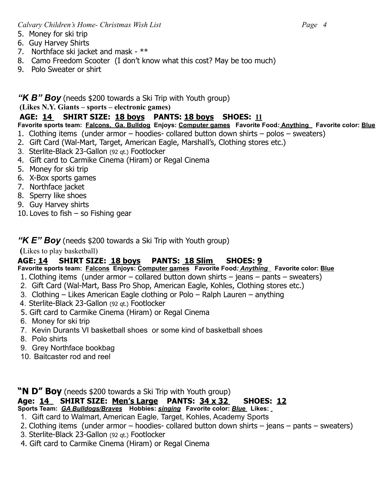- 5. Money for ski trip
- 6. Guy Harvey Shirts
- 7. Northface ski jacket and mask \*\*
- 8. Camo Freedom Scooter (I don't know what this cost? May be too much)
- 9. Polo Sweater or shirt

#### *"K B" Boy* (needs \$200 towards a Ski Trip with Youth group)

#### **(Likes N.Y. Giants – sports – electronic games)**

#### **AGE: 14 SHIRT SIZE: 18 boys PANTS: 18 boys SHOES: 11**

**Favorite sports team: Falcons, Ga. Bulldog Enjoys: Computer games Favorite Food***:* **Anything Favorite color: Blue** 1. Clothing items (under armor – hoodies- collared button down shirts – polos – sweaters)

- 2. Gift Card (Wal-Mart, Target, American Eagle, Marshall's, Clothing stores etc.)
- 3. Sterlite-Black 23-Gallon (92 qt.) Footlocker
- 4. Gift card to Carmike Cinema (Hiram) or Regal Cinema
- 5. Money for ski trip
- 6. X-Box sports games
- 7. Northface jacket
- 8. Sperry like shoes
- 9. Guy Harvey shirts
- 10. Loves to fish  $-$  so Fishing gear

#### *"K E" Boy* (needs \$200 towards a Ski Trip with Youth group)

 **(**Likes to play basketball)

#### **AGE: 14 SHIRT SIZE: 18 boys PANTS: 18 Slim SHOES: 9**

**Favorite sports team: Falcons Enjoys: Computer games Favorite Food***: Anything* **Favorite color: Blue**

- 1. Clothing items (under armor collared button down shirts jeans pants sweaters)
- 2. Gift Card (Wal-Mart, Bass Pro Shop, American Eagle, Kohles, Clothing stores etc.)
- 3. Clothing Likes American Eagle clothing or Polo Ralph Lauren anything
- 4. Sterlite-Black 23-Gallon (92 qt.) Footlocker
- 5. Gift card to Carmike Cinema (Hiram) or Regal Cinema
- 6. Money for ski trip
- 7. Kevin Durants VI basketball shoes or some kind of basketball shoes
- 8. Polo shirts
- 9. Grey Northface bookbag
- 10. Baitcaster rod and reel

#### **"N D" Boy** (needs \$200 towards a Ski Trip with Youth group)

### **Age: 14 SHIRT SIZE: Men's Large PANTS: 34 x 32 SHOES: 12**

**Sports Team:** *GA Bulldogs/Braves* **Hobbies:** *singing* **Favorite color:** *Blue* **Likes:**

- 1. Gift card to Walmart, American Eagle, Target, Kohles, Academy Sports
- 2. Clothing items (under armor hoodies- collared button down shirts jeans pants sweaters)
- 3. Sterlite-Black 23-Gallon (92 qt.) Footlocker
- 4. Gift card to Carmike Cinema (Hiram) or Regal Cinema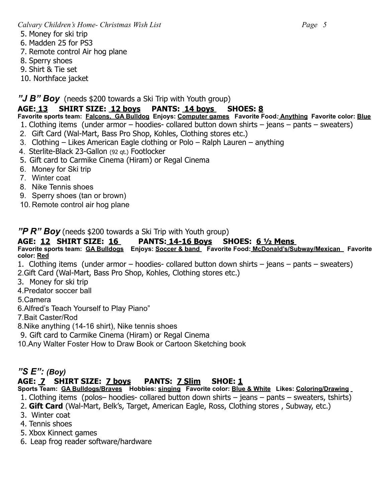- 5. Money for ski trip
- 6. Madden 25 for PS3
- 7. Remote control Air hog plane
- 8. Sperry shoes
- 9. Shirt & Tie set
- 10. Northface jacket

*"J B" Boy*(needs \$200 towards a Ski Trip with Youth group)

### **AGE: 13 SHIRT SIZE: 12 boys PANTS: 14 boys SHOES: 8**

- **Favorite sports team: Falcons, GA Bulldog Enjoys: Computer games Favorite Food***:* **Anything****Favorite color: Blue**
- 1. Clothing items (under armor hoodies- collared button down shirts jeans pants sweaters)
- 2. Gift Card (Wal-Mart, Bass Pro Shop, Kohles, Clothing stores etc.)
- 3. Clothing Likes American Eagle clothing or Polo Ralph Lauren anything
- 4. Sterlite-Black 23-Gallon (92 qt.) Footlocker
- 5. Gift card to Carmike Cinema (Hiram) or Regal Cinema
- 6. Money for Ski trip
- 7. Winter coat
- 8. Nike Tennis shoes
- 9. Sperry shoes (tan or brown)
- 10. Remote control air hog plane

*"P R" Boy* (needs \$200 towards a Ski Trip with Youth group)

### **AGE: 12 SHIRT SIZE: 16 PANTS: 14-16 Boys SHOES: 6 ½ Mens**

**Favorite sports team: GA Bulldogs Enjoys: Soccer & band Favorite Food: McDonald's/Subway/Mexican Favorite color: Red**

- 1. Clothing items (under armor hoodies- collared button down shirts jeans pants sweaters)
- 2.Gift Card (Wal-Mart, Bass Pro Shop, Kohles, Clothing stores etc.)
- 3. Money for ski trip
- 4.Predator soccer ball
- 5.Camera
- 6.Alfred's Teach Yourself to Play Piano"
- 7.Bait Caster/Rod
- 8.Nike anything (14-16 shirt), Nike tennis shoes
- 9. Gift card to Carmike Cinema (Hiram) or Regal Cinema
- 10.Any Walter Foster How to Draw Book or Cartoon Sketching book

## *"S E": (Boy)*

## **AGE: 7 SHIRT SIZE: 7 boys PANTS: 7 Slim SHOE: 1**

**Sports Team: GA Bulldogs/Braves Hobbies: singing Favorite color: Blue & White Likes: Coloring/Drawing**

- 1. Clothing items (polos– hoodies- collared button down shirts jeans pants sweaters, tshirts)
- 2. **Gift Card** (Wal-Mart, Belk's, Target, American Eagle, Ross, Clothing stores , Subway, etc.)
- 3. Winter coat
- 4. Tennis shoes
- 5. Xbox Kinnect games
- 6. Leap frog reader software/hardware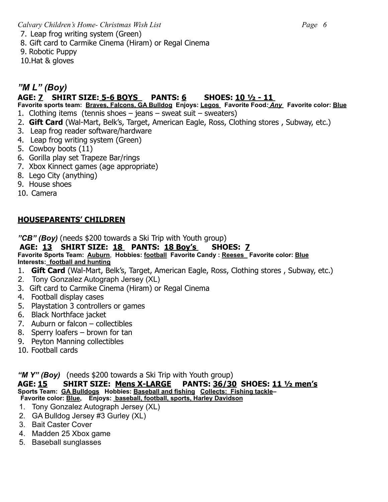7. Leap frog writing system (Green)

8. Gift card to Carmike Cinema (Hiram) or Regal Cinema

9. Robotic Puppy

10.Hat & gloves

## *"M L" (Boy)*

## **AGE: 7 SHIRT SIZE: 5-6 BOYS PANTS: 6 SHOES: 10 ½ - 11**

**Favorite sports team: Braves, Falcons, GA Bulldog Enjoys: Legos Favorite Food***: Any* **Favorite color: Blue**

- 1. Clothing items (tennis shoes jeans sweat suit sweaters)
- 2. **Gift Card** (Wal-Mart, Belk's, Target, American Eagle, Ross, Clothing stores , Subway, etc.)
- 3. Leap frog reader software/hardware
- 4. Leap frog writing system (Green)
- 5. Cowboy boots (11)
- 6. Gorilla play set Trapeze Bar/rings
- 7. Xbox Kinnect games (age appropriate)
- 8. Lego City (anything)
- 9. House shoes
- 10. Camera

#### **HOUSEPARENTS' CHILDREN**

*"CB" (Boy)* (needs \$200 towards a Ski Trip with Youth group)

#### **AGE: 13 SHIRT SIZE: 18 PANTS: 18 Boy's SHOES: 7**

**Favorite Sports Team: Auburn**, **Hobbies: football Favorite Candy : Reeses Favorite color: Blue Interests: football and hunting** 

- 1. **Gift Card** (Wal-Mart, Belk's, Target, American Eagle, Ross, Clothing stores , Subway, etc.)
- 2. Tony Gonzalez Autograph Jersey (XL)
- 3. Gift card to Carmike Cinema (Hiram) or Regal Cinema
- 4. Football display cases
- 5. Playstation 3 controllers or games
- 6. Black Northface jacket
- 7. Auburn or falcon collectibles
- 8. Sperry loafers brown for tan
- 9. Peyton Manning collectibles
- 10. Football cards

*"M Y" (Boy)* (needs \$200 towards a Ski Trip with Youth group)

**AGE: 15 SHIRT SIZE: Mens X-LARGE PANTS: 36/30 SHOES: 11 ½ men's Sports Team: GA Bulldogs Hobbies: Baseball and fishing Collects: Fishing tackle–**

**Favorite color: Blue, Enjoys: baseball, football, sports, Harley Davidson** 

- 1. Tony Gonzalez Autograph Jersey (XL)
- 2. GA Bulldog Jersey #3 Gurley (XL)
- 3. Bait Caster Cover
- 4. Madden 25 Xbox game
- 5. Baseball sunglasses